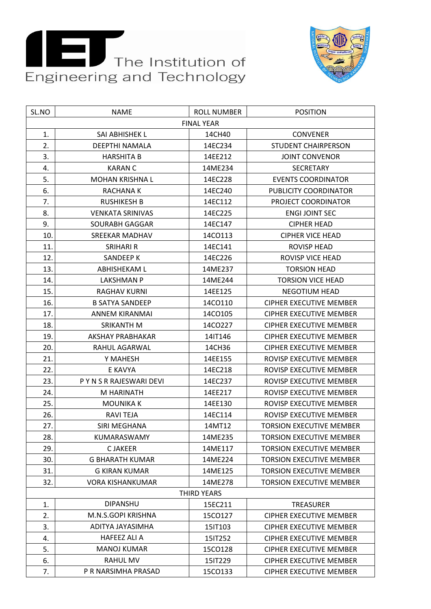



| SL.NO | <b>NAME</b>              | <b>ROLL NUMBER</b> | <b>POSITION</b>                 |
|-------|--------------------------|--------------------|---------------------------------|
|       |                          | <b>FINAL YEAR</b>  |                                 |
| 1.    | SAI ABHISHEK L           | 14CH40             | <b>CONVENER</b>                 |
| 2.    | DEEPTHI NAMALA           | 14EC234            | <b>STUDENT CHAIRPERSON</b>      |
| 3.    | <b>HARSHITA B</b>        | 14EE212            | <b>JOINT CONVENOR</b>           |
| 4.    | <b>KARAN C</b>           | 14ME234            | <b>SECRETARY</b>                |
| 5.    | MOHAN KRISHNA L          | 14EC228            | <b>EVENTS COORDINATOR</b>       |
| 6.    | <b>RACHANAK</b>          | 14EC240            | PUBLICITY COORDINATOR           |
| 7.    | <b>RUSHIKESH B</b>       | 14EC112            | PROJECT COORDINATOR             |
| 8.    | <b>VENKATA SRINIVAS</b>  | 14EC225            | <b>ENGI JOINT SEC</b>           |
| 9.    | SOURABH GAGGAR           | 14EC147            | <b>CIPHER HEAD</b>              |
| 10.   | <b>SREEKAR MADHAV</b>    | 14CO113            | <b>CIPHER VICE HEAD</b>         |
| 11.   | <b>SRIHARI R</b>         | 14EC141            | <b>ROVISP HEAD</b>              |
| 12.   | SANDEEP K                | 14EC226            | <b>ROVISP VICE HEAD</b>         |
| 13.   | <b>ABHISHEKAM L</b>      | 14ME237            | <b>TORSION HEAD</b>             |
| 14.   | LAKSHMAN P               | 14ME244            | <b>TORSION VICE HEAD</b>        |
| 15.   | RAGHAV KURNI             | 14EE125            | <b>NEGOTIUM HEAD</b>            |
| 16.   | <b>B SATYA SANDEEP</b>   | 14CO110            | <b>CIPHER EXECUTIVE MEMBER</b>  |
| 17.   | ANNEM KIRANMAI           | 14CO105            | <b>CIPHER EXECUTIVE MEMBER</b>  |
| 18.   | <b>SRIKANTH M</b>        | 14CO227            | <b>CIPHER EXECUTIVE MEMBER</b>  |
| 19.   | AKSHAY PRABHAKAR         | 14IT146            | CIPHER EXECUTIVE MEMBER         |
| 20.   | RAHUL AGARWAL            | 14CH36             | <b>CIPHER EXECUTIVE MEMBER</b>  |
| 21.   | Y MAHESH                 | 14EE155            | ROVISP EXECUTIVE MEMBER         |
| 22.   | E KAVYA                  | 14EC218            | ROVISP EXECUTIVE MEMBER         |
| 23.   | P Y N S R RAJESWARI DEVI | 14EC237            | ROVISP EXECUTIVE MEMBER         |
| 24.   | M HARINATH               | 14EE217            | ROVISP EXECUTIVE MEMBER         |
| 25.   | <b>MOUNIKA K</b>         | 14EE130            | ROVISP EXECUTIVE MEMBER         |
| 26.   | <b>RAVI TEJA</b>         | 14EC114            | ROVISP EXECUTIVE MEMBER         |
| 27.   | SIRI MEGHANA             | 14MT12             | <b>TORSION EXECUTIVE MEMBER</b> |
| 28.   | KUMARASWAMY              | 14ME235            | <b>TORSION EXECUTIVE MEMBER</b> |
| 29.   | <b>CJAKEER</b>           | 14ME117            | <b>TORSION EXECUTIVE MEMBER</b> |
| 30.   | <b>G BHARATH KUMAR</b>   | 14ME224            | <b>TORSION EXECUTIVE MEMBER</b> |
| 31.   | G KIRAN KUMAR            | 14ME125            | <b>TORSION EXECUTIVE MEMBER</b> |
| 32.   | <b>VORA KISHANKUMAR</b>  | 14ME278            | <b>TORSION EXECUTIVE MEMBER</b> |
|       |                          | <b>THIRD YEARS</b> |                                 |
| 1.    | <b>DIPANSHU</b>          | 15EC211            | <b>TREASURER</b>                |
| 2.    | M.N.S.GOPI KRISHNA       | 15CO127            | <b>CIPHER EXECUTIVE MEMBER</b>  |
| 3.    | ADITYA JAYASIMHA         | 15IT103            | CIPHER EXECUTIVE MEMBER         |
| 4.    | <b>HAFEEZ ALI A</b>      | 15IT252            | <b>CIPHER EXECUTIVE MEMBER</b>  |
| 5.    | <b>MANOJ KUMAR</b>       | 15CO128            | <b>CIPHER EXECUTIVE MEMBER</b>  |
| 6.    | RAHUL MV                 | 15IT229            | <b>CIPHER EXECUTIVE MEMBER</b>  |
| 7.    | P R NARSIMHA PRASAD      | 15CO133            | <b>CIPHER EXECUTIVE MEMBER</b>  |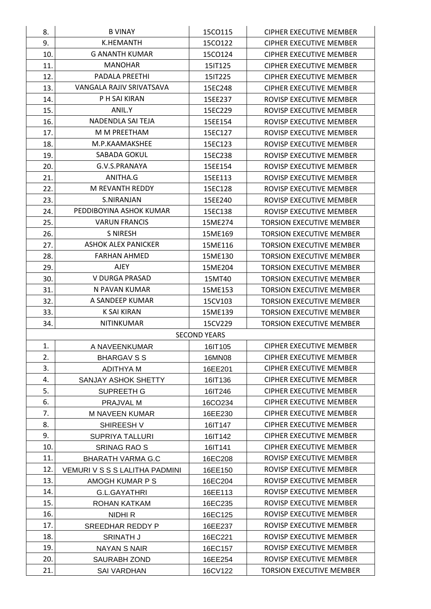| 8.         | <b>B VINAY</b>                      | 15CO115             | CIPHER EXECUTIVE MEMBER                            |
|------------|-------------------------------------|---------------------|----------------------------------------------------|
| 9.         | K.HEMANTH                           | 15CO122             | <b>CIPHER EXECUTIVE MEMBER</b>                     |
| 10.        | G ANANTH KUMAR                      | 15CO124             | CIPHER EXECUTIVE MEMBER                            |
| 11.        | <b>MANOHAR</b>                      | 15IT125             | <b>CIPHER EXECUTIVE MEMBER</b>                     |
| 12.        | <b>PADALA PREETHI</b>               | 15IT225             | <b>CIPHER EXECUTIVE MEMBER</b>                     |
| 13.        | VANGALA RAJIV SRIVATSAVA            | 15EC248             | CIPHER EXECUTIVE MEMBER                            |
| 14.        | P H SAI KIRAN                       | 15EE237             | ROVISP EXECUTIVE MEMBER                            |
| 15.        | ANIL.Y                              | 15EC229             | ROVISP EXECUTIVE MEMBER                            |
| 16.        | NADENDLA SAI TEJA                   | 15EE154             | ROVISP EXECUTIVE MEMBER                            |
| 17.        | M M PREETHAM                        | 15EC127             | ROVISP EXECUTIVE MEMBER                            |
| 18.        | M.P.KAAMAKSHEE                      | 15EC123             | ROVISP EXECUTIVE MEMBER                            |
| 19.        | SABADA GOKUL                        | 15EC238             | ROVISP EXECUTIVE MEMBER                            |
| 20.        | G.V.S.PRANAYA                       | 15EE154             | ROVISP EXECUTIVE MEMBER                            |
| 21.        | ANITHA.G                            | 15EE113             | ROVISP EXECUTIVE MEMBER                            |
| 22.        | M REVANTH REDDY                     | 15EC128             | ROVISP EXECUTIVE MEMBER                            |
| 23.        | S.NIRANJAN                          | 15EE240             | ROVISP EXECUTIVE MEMBER                            |
| 24.        | PEDDIBOYINA ASHOK KUMAR             | 15EC138             | ROVISP EXECUTIVE MEMBER                            |
| 25.        | <b>VARUN FRANCIS</b>                | 15ME274             | <b>TORSION EXECUTIVE MEMBER</b>                    |
| 26.        | <b>S NIRESH</b>                     | 15ME169             | <b>TORSION EXECUTIVE MEMBER</b>                    |
| 27.        | ASHOK ALEX PANICKER                 | 15ME116             | <b>TORSION EXECUTIVE MEMBER</b>                    |
| 28.        | <b>FARHAN AHMED</b>                 | 15ME130             | <b>TORSION EXECUTIVE MEMBER</b>                    |
| 29.        | <b>AJEY</b>                         | 15ME204             | <b>TORSION EXECUTIVE MEMBER</b>                    |
| 30.        | V DURGA PRASAD                      | 15MT40              | <b>TORSION EXECUTIVE MEMBER</b>                    |
| 31.        | N PAVAN KUMAR                       | 15ME153             | <b>TORSION EXECUTIVE MEMBER</b>                    |
| 32.        | A SANDEEP KUMAR                     | 15CV103             | <b>TORSION EXECUTIVE MEMBER</b>                    |
| 33.        | K SAI KIRAN                         | 15ME139             | <b>TORSION EXECUTIVE MEMBER</b>                    |
| 34.        | <b>NITINKUMAR</b>                   | 15CV229             | <b>TORSION EXECUTIVE MEMBER</b>                    |
|            |                                     | <b>SECOND YEARS</b> |                                                    |
| 1.         | A NAVEENKUMAR                       | 16IT105             | <b>CIPHER EXECUTIVE MEMBER</b>                     |
| 2.         | BHARGAV S S                         | 16MN08              | <b>CIPHER EXECUTIVE MEMBER</b>                     |
| 3.         | ADITHYA M                           | 16EE201             | CIPHER EXECUTIVE MEMBER                            |
| 4.         | SANJAY ASHOK SHETTY                 | 16IT136             | <b>CIPHER EXECUTIVE MEMBER</b>                     |
| 5.         | SUPREETH G                          | 16IT246             | CIPHER EXECUTIVE MEMBER                            |
| 6.         | PRAJVAL M                           | 16CO234             | <b>CIPHER EXECUTIVE MEMBER</b>                     |
| 7.         | M NAVEEN KUMAR                      | 16EE230             | <b>CIPHER EXECUTIVE MEMBER</b>                     |
| 8.         | SHIREESH V                          | 16IT147             | <b>CIPHER EXECUTIVE MEMBER</b>                     |
| 9.         | <b>SUPRIYA TALLURI</b>              | 16IT142             | <b>CIPHER EXECUTIVE MEMBER</b>                     |
| 10.        | SRINAG RAO S                        | 16IT141             | CIPHER EXECUTIVE MEMBER                            |
| 11.        | <b>BHARATH VARMA G.C</b>            | 16EC208             | ROVISP EXECUTIVE MEMBER                            |
| 12.        | VEMURI V S S S LALITHA PADMINI      | 16EE150             | ROVISP EXECUTIVE MEMBER                            |
| 13.        | AMOGH KUMAR P S                     | 16EC204             | ROVISP EXECUTIVE MEMBER                            |
| 14.        | G.L.GAYATHRI                        | 16EE113             | ROVISP EXECUTIVE MEMBER                            |
| 15.        | ROHAN KATKAM                        | 16EC235             | ROVISP EXECUTIVE MEMBER                            |
| 16.        | NIDHI R                             | 16EC125             | ROVISP EXECUTIVE MEMBER                            |
| 17.        | SREEDHAR REDDY P                    | 16EE237             | ROVISP EXECUTIVE MEMBER                            |
|            | <b>SRINATH J</b>                    | 16EC221             | ROVISP EXECUTIVE MEMBER                            |
|            |                                     |                     |                                                    |
| 18.        |                                     |                     |                                                    |
| 19.<br>20. | NAYAN S NAIR<br><b>SAURABH ZOND</b> | 16EC157<br>16EE254  | ROVISP EXECUTIVE MEMBER<br>ROVISP EXECUTIVE MEMBER |